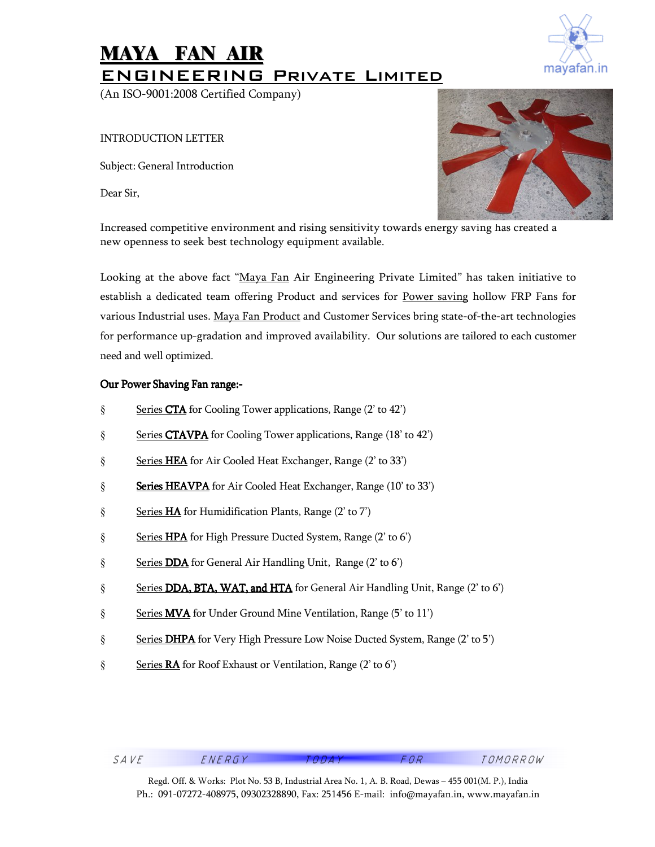# MAYA FAN AIR ENGINEERING Private Limited

(An ISO-9001:2008 Certified Company)

INTRODUCTION LETTER

Subject: General Introduction

Dear Sir,



Increased competitive environment and rising sensitivity towards energy saving has created a new openness to seek best technology equipment available.

Looking at the above fact "Maya Fan Air Engineering Private Limited" has taken initiative to establish a dedicated team offering Product and services for Power saving hollow FRP Fans for various Industrial uses. Maya Fan Product and Customer Services bring state-of-the-art technologies for performance up-gradation and improved availability. Our solutions are tailored to each customer need and well optimized.

### Our Power Shaving Fan range:-

- § Series CTA for Cooling Tower applications, Range (2' to 42')
- § Series CTAVPA for Cooling Tower applications, Range (18' to 42')
- § Series HEA for Air Cooled Heat Exchanger, Range (2' to 33')
- § **Series HEAVPA** for Air Cooled Heat Exchanger, Range (10' to 33')
- § Series HA for Humidification Plants, Range (2' to 7')
- § Series HPA for High Pressure Ducted System, Range (2' to 6')
- § Series DDA for General Air Handling Unit, Range (2' to 6')
- § Series DDA, BTA, WAT, and HTA for General Air Handling Unit, Range  $(2' \text{ to } 6')$
- § Series **MVA** for Under Ground Mine Ventilation, Range (5' to 11')
- § Series DHPA for Very High Pressure Low Noise Ducted System, Range (2' to 5')
- § Series RA for Roof Exhaust or Ventilation, Range (2' to 6')

Regd. Off. & Works: Plot No. 53 B, Industrial Area No. 1, A. B. Road, Dewas – 455 001(M. P.), India Ph.: 091-07272-408975, 09302328890, Fax: 251456 E-mail: info@mayafan.in, www.mayafan.in

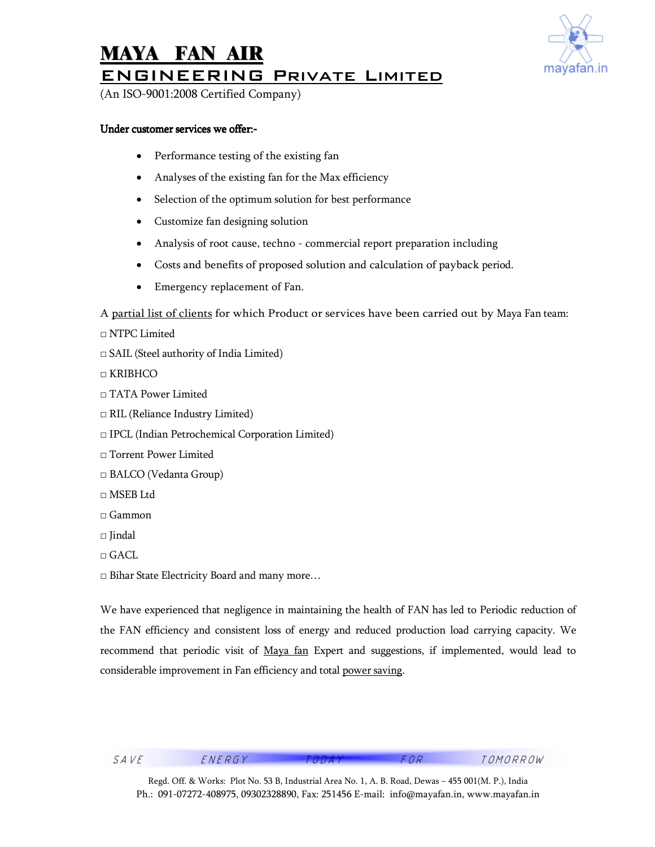

## MAYA FAN AIR ENGINEERING Private Limited

(An ISO-9001:2008 Certified Company)

#### Under customer services we offer:-

- Performance testing of the existing fan
- Analyses of the existing fan for the Max efficiency
- Selection of the optimum solution for best performance
- Customize fan designing solution
- Analysis of root cause, techno commercial report preparation including
- Costs and benefits of proposed solution and calculation of payback period.
- Emergency replacement of Fan.

A partial list of clients for which Product or services have been carried out by Maya Fan team:

□ NTPC Limited

□ SAIL (Steel authority of India Limited)

□ KRIBHCO

- □ TATA Power Limited
- □ RIL (Reliance Industry Limited)
- □ IPCL (Indian Petrochemical Corporation Limited)
- □ Torrent Power Limited
- □ BALCO (Vedanta Group)
- $\Box$  MSEB Ltd
- □ Gammon
- □ Jindal
- □ GACL

□ Bihar State Electricity Board and many more…

We have experienced that negligence in maintaining the health of FAN has led to Periodic reduction of the FAN efficiency and consistent loss of energy and reduced production load carrying capacity. We recommend that periodic visit of Maya fan Expert and suggestions, if implemented, would lead to considerable improvement in Fan efficiency and total power saving.

SAVE ENERGY TODAY FOR TOMORROW

Regd. Off. & Works: Plot No. 53 B, Industrial Area No. 1, A. B. Road, Dewas – 455 001(M. P.), India Ph.: 091-07272-408975, 09302328890, Fax: 251456 E-mail: info@mayafan.in, www.mayafan.in